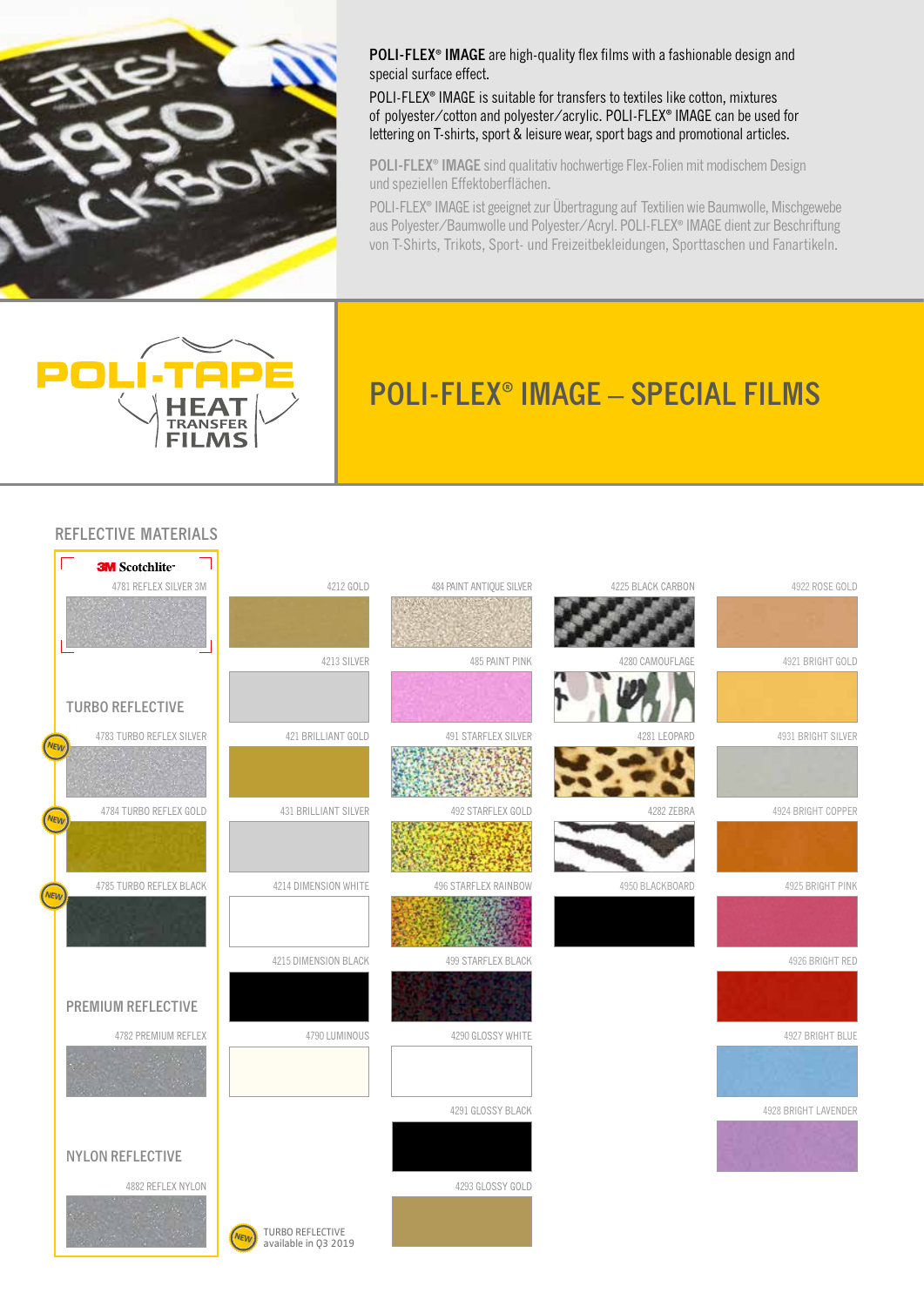

**POLI-FLEX® IMAGE** are high-quality flex films with a fashionable design and special surface effect.

POLI-FLEX**®** IMAGE is suitable for transfers to textiles like cotton, mixtures of polyester/cotton and polyester/acrylic. POLI-FLEX**®** IMAGE can be used for lettering on T-shirts, sport & leisure wear, sport bags and promotional articles.

**POLI-FLEX® IMAGE** sind qualitativ hochwertige Flex-Folien mit modischem Design und speziellen Effektoberflächen.

POLI-FLEX**®** IMAGE ist geeignet zur Übertragung auf Textilien wie Baumwolle, Mischgewebe aus Polyester/Baumwolle und Polyester/Acryl. POLI-FLEX**®** IMAGE dient zur Beschriftung von T-Shirts, Trikots, Sport- und Freizeitbekleidungen, Sporttaschen und Fanartikeln.



┐

# **POLI-FLEX® IMAGE – SPECIAL FILMS**

#### **REFLECTIVE MATERIALS**

 $\overline{ }$ 

|            | <b>3M</b> Scotchlite <sup>®</sup> |                                                        |                            |                   |                      |
|------------|-----------------------------------|--------------------------------------------------------|----------------------------|-------------------|----------------------|
|            | 4781 REFLEX SILVER 3M             | 4212 GOLD                                              | 484 PAINT ANTIQUE SILVER   | 4225 BLACK CARBON | 4922 ROSE GOLD       |
|            |                                   |                                                        |                            |                   |                      |
|            |                                   | 4213 SILVER                                            | 485 PAINT PINK             | 4280 CAMOUFLAGE   | 4921 BRIGHT GOLD     |
|            | <b>TURBO REFLECTIVE</b>           |                                                        |                            |                   |                      |
| <b>NEW</b> | 4783 TURBO REFLEX SILVER          | 421 BRILLIANT GOLD                                     | <b>491 STARFLEX SILVER</b> | 4281 LEOPARD      | 4931 BRIGHT SILVER   |
|            |                                   |                                                        |                            |                   |                      |
| <b>NEW</b> | 4784 TURBO REFLEX GOLD            | 431 BRILLIANT SILVER                                   | 492 STARFLEX GOLD          | 4282 ZEBRA        | 4924 BRIGHT COPPER   |
|            |                                   |                                                        |                            |                   |                      |
| <b>NEW</b> | 4785 TURBO REFLEX BLACK           | 4214 DIMENSION WHITE                                   | 496 STARFLEX RAINBOW       | 4950 BLACKBOARD   | 4925 BRIGHT PINK     |
|            |                                   |                                                        | $-400$                     |                   |                      |
|            |                                   | 4215 DIMENSION BLACK                                   | 499 STARFLEX BLACK         |                   | 4926 BRIGHT RED      |
|            | <b>PREMIUM REFLECTIVE</b>         |                                                        |                            |                   |                      |
|            | 4782 PREMIUM REFLEX               | 4790 LUMINOUS                                          | 4290 GLOSSY WHITE          |                   | 4927 BRIGHT BLUE     |
|            |                                   |                                                        |                            |                   |                      |
|            |                                   |                                                        | 4291 GLOSSY BLACK          |                   | 4928 BRIGHT LAVENDER |
|            | <b>NYLON REFLECTIVE</b>           |                                                        |                            |                   |                      |
|            | 4882 REFLEX NYLON                 |                                                        | 4293 GLOSSY GOLD           |                   |                      |
|            |                                   | TURBO REFLECTIVE<br>available in Q3 2019<br><b>NEW</b> |                            |                   |                      |